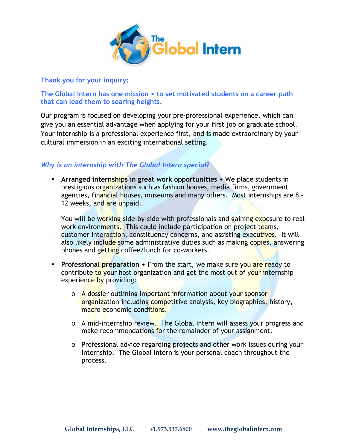

**Thank you for your inquiry:** 

**The Global Intern has one mission • to set motivated students on a career path that can lead them to soaring heights.**

Our program is focused on developing your pre-professional experience, which can give you an essential advantage when applying for your first job or graduate school. Your internship is a professional experience first, and is made extraordinary by your cultural immersion in an exciting international setting.

# *Why is an internship with The Global Intern special?*

• **Arranged internships in great work opportunities •** We place students in prestigious organizations such as fashion houses, media firms, government agencies, financial houses, museums and many others. Most internships are 8 -12 weeks, and are unpaid.

You will be working side-by-side with professionals and gaining exposure to real work environments. This could include participation on project teams, customer interaction, constituency concerns, and assisting executives. It will also likely include some administrative duties such as making copies, answering phones and getting coffee/lunch for co-workers.

- **Professional preparation •** From the start, we make sure you are ready to contribute to your host organization and get the most out of your internship experience by providing:
	- o A dossier outlining important information about your sponsor organization including competitive analysis, key biographies, history, macro economic conditions.
	- o A mid-internship review. The Global Intern will assess your progress and make recommendations for the remainder of your assignment.
	- $\circ$  Professional advice regarding projects and other work issues during your internship. The Global Intern is your personal coach throughout the process.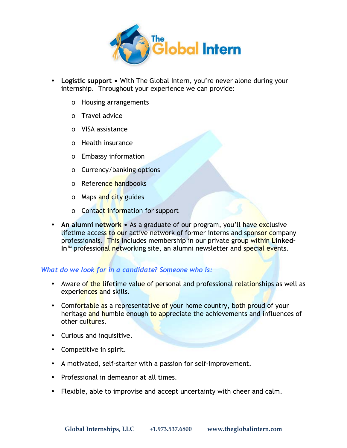

- Logistic support With The Global Intern, you're never alone during your internship. Throughout your experience we can provide:
	- o Housing arrangements
	- o Travel advice
	- o VISA assistance
	- o Health insurance
	- o Embassy information
	- o Currency/banking options
	- o Reference handbooks
	- o Maps and city guides
	- o Contact information for support
- An alumni network As a graduate of our program, you'll have exclusive lifetime access to our active network of former interns and sponsor company professionals. This includes membership in our private group within **Linked-In<sup>™</sup> professional networking site, an alumni newsletter and special events.**

# *What do we look for in a candidate? Someone who is:*

- Aware of the lifetime value of personal and professional relationships as well as experiences and skills.
- Comfortable as a representative of your home country, both proud of your heritage and humble enough to appreciate the achievements and influences of other cultures.
- Curious and inquisitive.
- Competitive in spirit.
- A motivated, self-starter with a passion for self-improvement.
- Professional in demeanor at all times.
- Flexible, able to improvise and accept uncertainty with cheer and calm.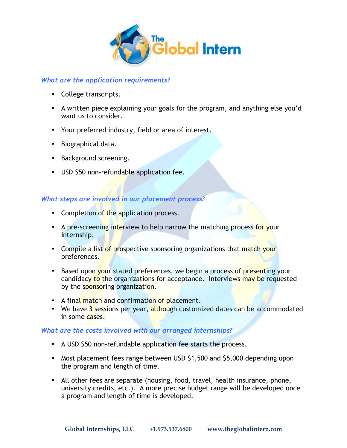

# *What are the application requirements?*

- College transcripts.
- A written piece explaining your goals for the program, and anything else you'd want us to consider.
- Your preferred industry, field or area of interest.
- Biographical data.
- Background screening.
- USD \$50 non-refundable application fee.

# *What steps are involved in our placement process?*

- Completion of the application process.
- A pre-screening interview to help narrow the matching process for your internship.
- Compile a list of prospective sponsoring organizations that match your preferences.
- Based upon your stated preferences, we begin a process of presenting your candidacy to the organizations for acceptance. Interviews may be requested by the sponsoring organization.
- A final match and confirmation of placement.
- We have 3 sessions per year, although customized dates can be accommodated in some cases.

# *What are the costs involved with our arranged internships?*

- A USD \$50 non-refundable application fee starts the process.
- Most placement fees range between USD \$1,500 and \$5,000 depending upon the program and length of time.
- All other fees are separate (housing, food, travel, health insurance, phone, university credits, etc.). A more precise budget range will be developed once a program and length of time is developed.